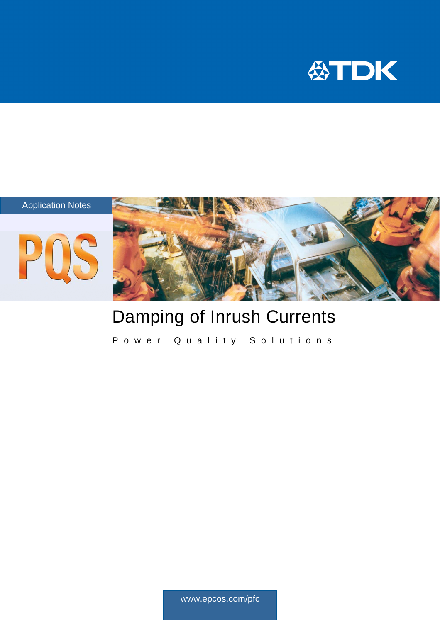



# Damping of Inrush Currents

Power Quality Solutions

www.epcos.com/pfc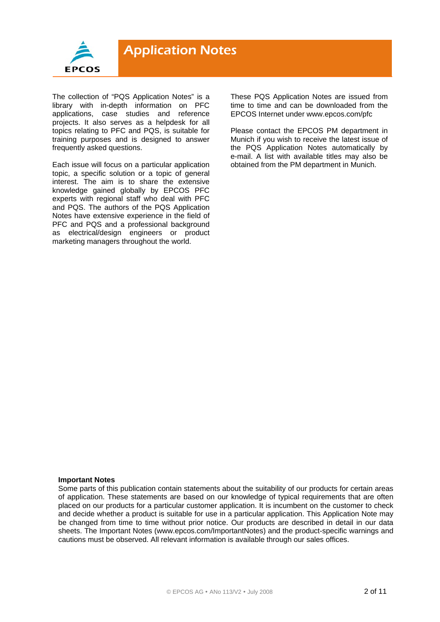

The collection of "PQS Application Notes" is a library with in-depth information on PFC applications, case studies and reference projects. It also serves as a helpdesk for all topics relating to PFC and PQS, is suitable for training purposes and is designed to answer frequently asked questions.

Each issue will focus on a particular application topic, a specific solution or a topic of general interest. The aim is to share the extensive knowledge gained globally by EPCOS PFC experts with regional staff who deal with PFC and PQS. The authors of the PQS Application Notes have extensive experience in the field of PFC and PQS and a professional background as electrical/design engineers or product marketing managers throughout the world.

These PQS Application Notes are issued from time to time and can be downloaded from the EPCOS Internet under www.epcos.com/pfc

Please contact the EPCOS PM department in Munich if you wish to receive the latest issue of the PQS Application Notes automatically by e-mail. A list with available titles may also be obtained from the PM department in Munich.

#### **Important Notes**

Some parts of this publication contain statements about the suitability of our products for certain areas of application. These statements are based on our knowledge of typical requirements that are often placed on our products for a particular customer application. It is incumbent on the customer to check and decide whether a product is suitable for use in a particular application. This Application Note may be changed from time to time without prior notice. Our products are described in detail in our data sheets. The Important Notes (www.epcos.com/ImportantNotes) and the product-specific warnings and cautions must be observed. All relevant information is available through our sales offices.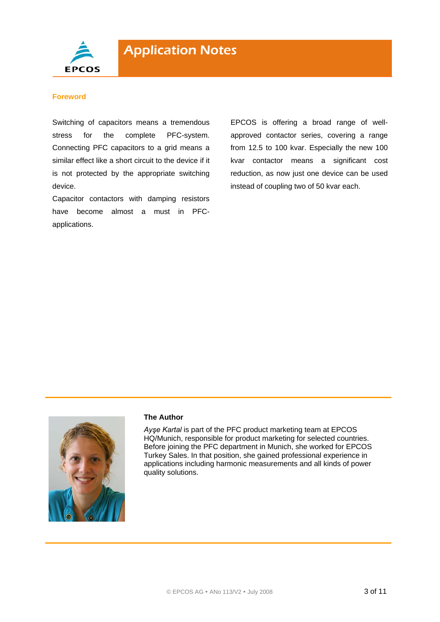

#### **Foreword**

Switching of capacitors means a tremendous stress for the complete PFC-system. Connecting PFC capacitors to a grid means a similar effect like a short circuit to the device if it is not protected by the appropriate switching device.

Capacitor contactors with damping resistors have become almost a must in PFCapplications.

EPCOS is offering a broad range of wellapproved contactor series, covering a range from 12.5 to 100 kvar. Especially the new 100 kvar contactor means a significant cost reduction, as now just one device can be used instead of coupling two of 50 kvar each.



#### **The Author**

*Ayşe Kartal* is part of the PFC product marketing team at EPCOS HQ/Munich, responsible for product marketing for selected countries. Before joining the PFC department in Munich, she worked for EPCOS Turkey Sales. In that position, she gained professional experience in applications including harmonic measurements and all kinds of power quality solutions.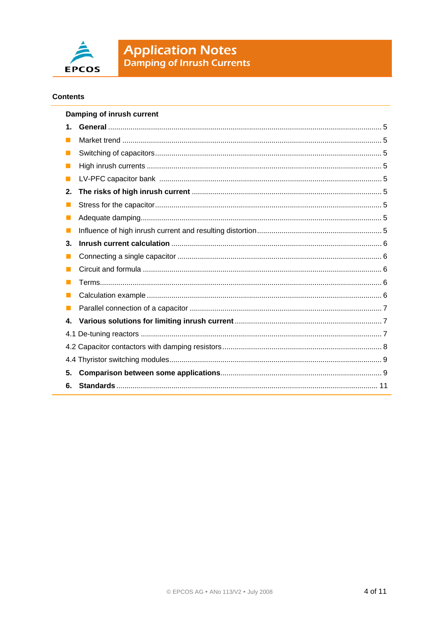

#### **Contents**

| Damping of inrush current |  |  |
|---------------------------|--|--|
| $\mathbf 1$ .             |  |  |
|                           |  |  |
|                           |  |  |
|                           |  |  |
|                           |  |  |
| 2.                        |  |  |
|                           |  |  |
|                           |  |  |
| <b>Tale</b>               |  |  |
| 3.                        |  |  |
| ш                         |  |  |
|                           |  |  |
|                           |  |  |
|                           |  |  |
|                           |  |  |
| $\mathbf{4}$              |  |  |
|                           |  |  |
|                           |  |  |
|                           |  |  |
| 5.                        |  |  |
| 6.                        |  |  |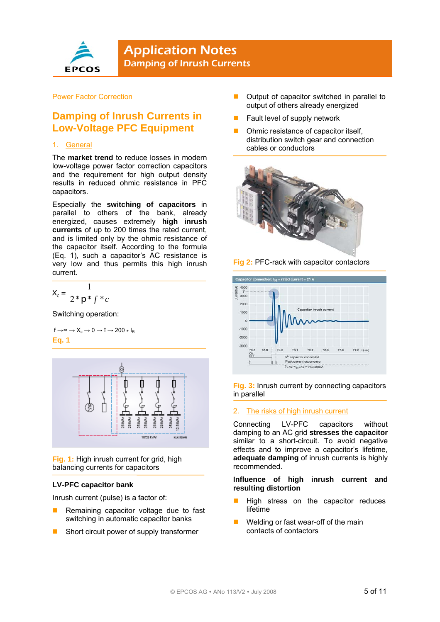

#### Power Factor Correction

# **Damping of Inrush Currents in Low-Voltage PFC Equipment**

#### 1. General

The **market trend** to reduce losses in modern low-voltage power factor correction capacitors and the requirement for high output density results in reduced ohmic resistance in PFC capacitors.

Especially the **switching of capacitors** in parallel to others of the bank, already energized, causes extremely **high inrush currents** of up to 200 times the rated current, and is limited only by the ohmic resistance of the capacitor itself. According to the formula (Eq. 1), such a capacitor's AC resistance is very low and thus permits this high inrush current.

$$
X_c = \frac{1}{2 \cdot p \cdot f \cdot c}
$$

Switching operation:

$$
\begin{aligned} f \rightarrow^\infty &\rightarrow X_c \rightarrow 0 \rightarrow \hat{I} \rightarrow 200 \star I_R \\ \text{Eq. 1} \end{aligned}
$$



**Fig. 1:** High inrush current for grid, high balancing currents for capacitors

#### **LV-PFC capacitor bank**

Inrush current (pulse) is a factor of:

- Remaining capacitor voltage due to fast switching in automatic capacitor banks
- Short circuit power of supply transformer
- **D** Output of capacitor switched in parallel to output of others already energized
- Fault level of supply network
- Ohmic resistance of capacitor itself, distribution switch gear and connection cables or conductors







**Fig. 3:** Inrush current by connecting capacitors in parallel

#### 2. The risks of high inrush current

Connecting LV-PFC capacitors without damping to an AC grid **stresses the capacitor** similar to a short-circuit. To avoid negative effects and to improve a capacitor's lifetime, **adequate damping** of inrush currents is highly recommended.

#### **Influence of high inrush current and resulting distortion**

- High stress on the capacitor reduces lifetime
- Welding or fast wear-off of the main contacts of contactors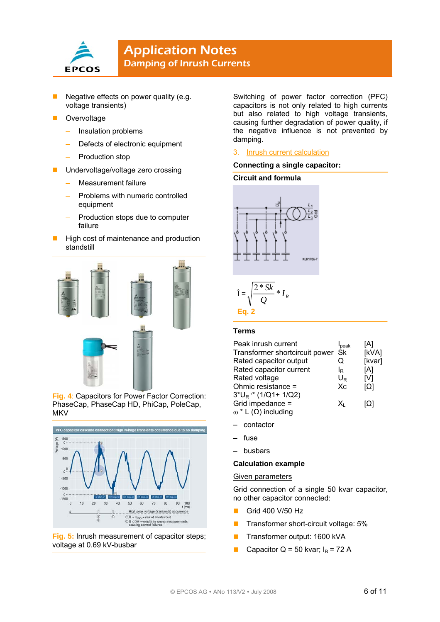

- Negative effects on power quality (e.g. voltage transients)
- **Overvoltage** 
	- Insulation problems
	- Defects of electronic equipment
	- Production stop
- **Undervoltage/voltage zero crossing** 
	- Measurement failure
	- Problems with numeric controlled equipment
	- Production stops due to computer failure
- High cost of maintenance and production standstill



**Fig. 4**: Capacitors for Power Factor Correction: PhaseCap, PhaseCap HD, PhiCap, PoleCap, **MKV** 



**Fig. 5:** Inrush measurement of capacitor steps; voltage at 0.69 kV-busbar

Switching of power factor correction (PFC) capacitors is not only related to high currents but also related to high voltage transients, causing further degradation of power quality, if the negative influence is not prevented by damping.

#### 3. Inrush current calculation

#### **Connecting a single capacitor:**

#### **Circuit and formula**





#### **Terms**

| Peak inrush current               | I <sub>peak</sub> | [A]        |
|-----------------------------------|-------------------|------------|
| Transformer shortcircuit power Sk |                   | [kVA]      |
| Rated capacitor output            | Q                 | [kvar]     |
| Rated capacitor current           | le                | [A]        |
| Rated voltage                     | $U_{R}$           | [V]        |
| Ohmic resistance =                | $X_{C}$           | $\Omega$   |
| $3*U_R^2* (1/Q1+1/Q2)$            |                   |            |
| Grid impedance =                  | x.                | <u>[Ω]</u> |
| $ω * L(Ω)$ including              |                   |            |

- contactor
- fuse
- busbars

#### **Calculation example**

#### Given parameters

Grid connection of a single 50 kvar capacitor, no other capacitor connected:

- Grid 400 V/50 Hz
- **Transformer short-circuit voltage: 5%**
- **Transformer output: 1600 kVA**
- Capacitor  $Q = 50$  kvar;  $I_R = 72$  A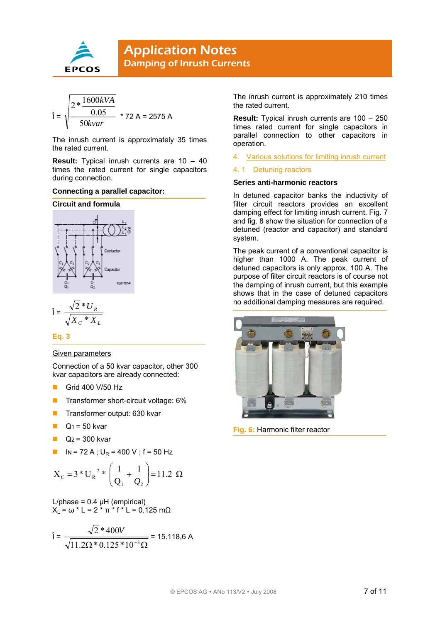

$$
\hat{\mathbf{i}} = \sqrt{\frac{2 * \frac{1600kVA}{0.05}}{50kvar}} \times 72 \text{ A} = 2575 \text{ A}
$$

The inrush current is approximately 35 times the rated current.

**Result:** Typical inrush currents are 10 – 40 times the rated current for single capacitors during connection.

#### **Connecting a parallel capacitor:**

#### **Circuit and formula**



$$
\hat{\mathbf{l}} = \frac{\sqrt{2} * U_R}{\sqrt{X_C * X_L}}
$$

**Eq. 3** 

#### Given parameters

Connection of a 50 kvar capacitor, other 300 kvar capacitors are already connected:

- Grid 400 V/50 Hz
- **Transformer short-circuit voltage: 6%**
- **Transformer output: 630 kvar**
- $Q_1 = 50$  kvar
- $Q_2$  = 300 kvar
- $IN = 72 A$ ;  $U_R = 400 V$ ; f = 50 Hz

$$
X_C = 3 \cdot U_R^2 \cdot \left( \frac{1}{Q_1} + \frac{1}{Q_2} \right) = 11.2 \Omega
$$

 $L/b$ hase = 0.4  $uH$  (empirical)  $X_L = ω * L = 2 * π * f * L = 0.125 mΩ$ 

$$
\hat{\mathbf{i}} = \frac{\sqrt{2} * 400V}{\sqrt{11.2\Omega * 0.125 * 10^{-3} \Omega}} = 15.118,6 \text{ A}
$$

The inrush current is approximately 210 times the rated current.

**Result:** Typical inrush currents are 100 – 250 times rated current for single capacitors in parallel connection to other capacitors in operation.

4. Various solutions for limiting inrush current

#### 4. 1 Detuning reactors

#### **Series anti-harmonic reactors**

In detuned capacitor banks the inductivity of filter circuit reactors provides an excellent damping effect for limiting inrush current. Fig. 7 and fig. 8 show the situation for connection of a detuned (reactor and capacitor) and standard system.

The peak current of a conventional capacitor is higher than 1000 A. The peak current of detuned capacitors is only approx. 100 A. The purpose of filter circuit reactors is of course not the damping of inrush current, but this example shows that in the case of detuned capacitors no additional damping measures are required.



**Fig. 6:** Harmonic filter reactor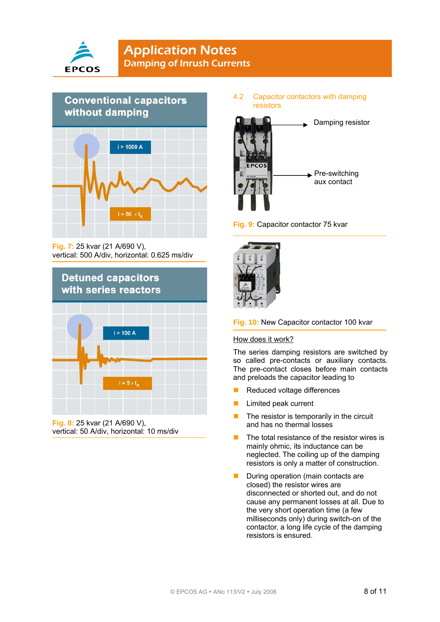



**Fig. 7:** 25 kvar (21 A/690 V), vertical: 500 A/div, horizontal: 0.625 ms/div



**Fig. 8:** 25 kvar (21 A/690 V), vertical: 50 A/div, horizontal: 10 ms/div

4.2 Capacitor contactors with damping resistors







#### **Fig. 10:** New Capacitor contactor 100 kvar

#### How does it work?

The series damping resistors are switched by so called pre-contacts or auxiliary contacts. The pre-contact closes before main contacts and preloads the capacitor leading to

- Reduced voltage differences
- **Limited peak current**
- $\blacksquare$  The resistor is temporarily in the circuit and has no thermal losses
- $\blacksquare$  The total resistance of the resistor wires is mainly ohmic, its inductance can be neglected. The coiling up of the damping resistors is only a matter of construction.
- **During operation (main contacts are** closed) the resistor wires are disconnected or shorted out, and do not cause any permanent losses at all. Due to the very short operation time (a few milliseconds only) during switch-on of the contactor, a long life cycle of the damping resistors is ensured.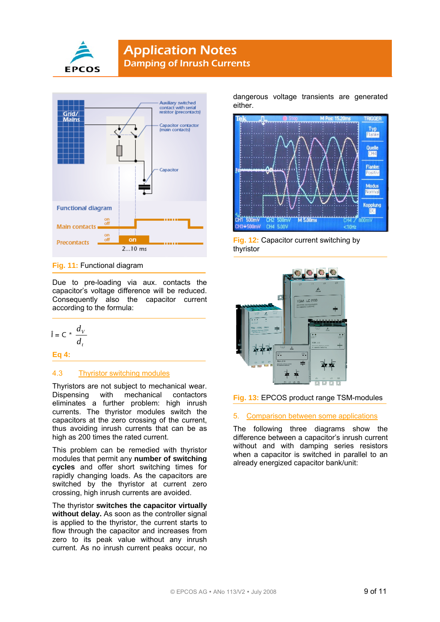



**Fig. 11:** Functional diagram

Due to pre-loading via aux. contacts the capacitor's voltage difference will be reduced. Consequently also the capacitor current according to the formula:

 $\hat{I} = C \cdot \frac{d_v}{d_v}$ *t d*

**Eq 4:** 

#### 4.3 Thyristor switching modules

Thyristors are not subject to mechanical wear.<br>Dispensing with mechanical contactors Dispensing with mechanical contactors eliminates a further problem: high inrush currents. The thyristor modules switch the capacitors at the zero crossing of the current, thus avoiding inrush currents that can be as high as 200 times the rated current.

This problem can be remedied with thyristor modules that permit any **number of switching cycles** and offer short switching times for rapidly changing loads. As the capacitors are switched by the thyristor at current zero crossing, high inrush currents are avoided.

The thyristor **switches the capacitor virtually**  without delay. As soon as the controller signal is applied to the thyristor, the current starts to flow through the capacitor and increases from zero to its peak value without any inrush current. As no inrush current peaks occur, no

dangerous voltage transients are generated either.



**Fig. 12:** Capacitor current switching by thyristor



#### **Fig. 13:** EPCOS product range TSM-modules

#### 5. Comparison between some applications

The following three diagrams show the difference between a capacitor's inrush current without and with damping series resistors when a capacitor is switched in parallel to an already energized capacitor bank/unit: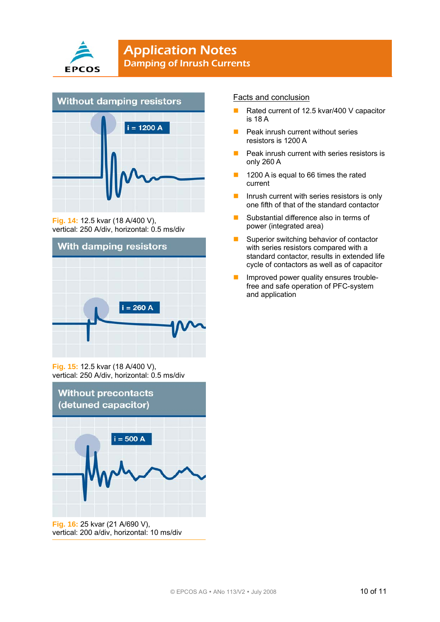



**Fig. 14:** 12.5 kvar (18 A/400 V), vertical: 250 A/div, horizontal: 0.5 ms/div



**Fig. 15:** 12.5 kvar (18 A/400 V), vertical: 250 A/div, horizontal: 0.5 ms/div



vertical: 200 a/div, horizontal: 10 ms/div

#### Facts and conclusion

- Rated current of 12.5 kvar/400 V capacitor is 18 A
- Peak inrush current without series resistors is 1200 A
- $\blacksquare$  Peak inrush current with series resistors is only 260 A
- **1200 A is equal to 66 times the rated** current
- Inrush current with series resistors is only one fifth of that of the standard contactor
- Substantial difference also in terms of power (integrated area)
- Superior switching behavior of contactor with series resistors compared with a standard contactor, results in extended life cycle of contactors as well as of capacitor
- **Improved power quality ensures trouble**free and safe operation of PFC-system and application